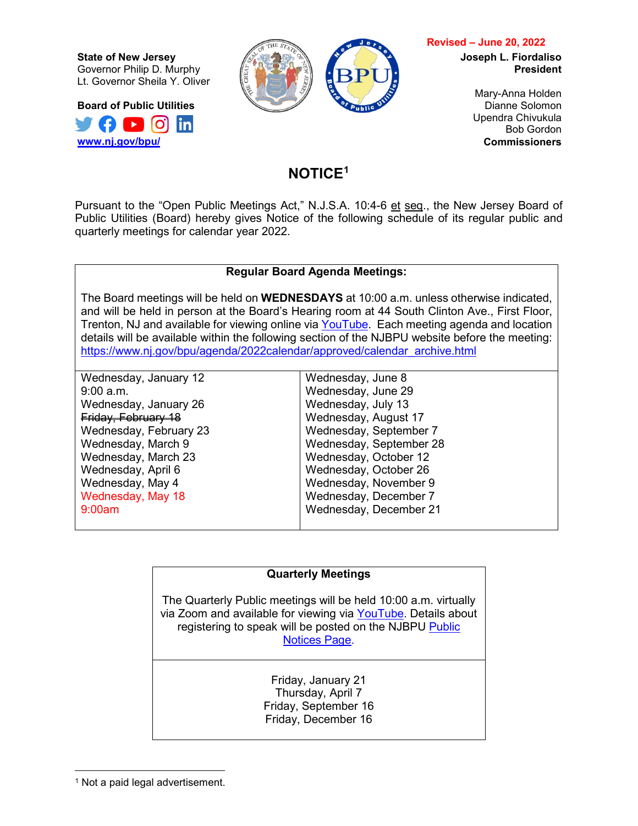**State of New Jersey** Governor Philip D. Murphy Lt. Governor Sheila Y. Oliver

**Board of Public Utilities**  $\Omega$   $\Omega$   $\Omega$   $\mathsf{in}$ **[www.nj.gov/bpu/](http://www.nj.gov/bpu/)**



## **Revised – June 20, 2022**

**Joseph L. Fiordaliso President**

> Mary-Anna Holden Dianne Solomon Upendra Chivukula Bob Gordon **Commissioners**

## **NOTICE[1](#page-0-0)**

Pursuant to the "Open Public Meetings Act," N.J.S.A. 10:4-6 et seq., the New Jersey Board of Public Utilities (Board) hereby gives Notice of the following schedule of its regular public and quarterly meetings for calendar year 2022.

## **Regular Board Agenda Meetings:**

The Board meetings will be held on **WEDNESDAYS** at 10:00 a.m. unless otherwise indicated, and will be held in person at the Board's Hearing room at 44 South Clinton Ave., First Floor, Trenton, NJ and available for viewing online via [YouTube.](https://www.youtube.com/channel/UCX8pm95LSaAy3x8y3gnjq4A) Each meeting agenda and location details will be available within the following section of the NJBPU website before the meeting: [https://www.nj.gov/bpu/agenda/2022calendar/approved/calendar\\_archive.html](https://www.nj.gov/bpu/agenda/2022calendar/approved/calendar_archive.html)

Wednesday, January 12 9:00 a.m. Wednesday, January 26 Friday, February 18 Wednesday, February 23 Wednesday, March 9 Wednesday, March 23 Wednesday, April 6 Wednesday, May 4 Wednesday, May 18 9:00am Wednesday, June 8 Wednesday, June 29 Wednesday, July 13 Wednesday, August 17 Wednesday, September 7 Wednesday, September 28 Wednesday, October 12 Wednesday, October 26 Wednesday, November 9 Wednesday, December 7 Wednesday, December 21

## **Quarterly Meetings**

The Quarterly Public meetings will be held 10:00 a.m. virtually via Zoom and available for viewing via [YouTube.](https://www.youtube.com/channel/UCX8pm95LSaAy3x8y3gnjq4A) Details about registering to speak will be posted on the NJBPU [Public](https://nj.gov/bpu/newsroom/index.shtml)  [Notices Page.](https://nj.gov/bpu/newsroom/index.shtml)

> Friday, January 21 Thursday, April 7 Friday, September 16 Friday, December 16

<span id="page-0-0"></span><sup>&</sup>lt;sup>1</sup> Not a paid legal advertisement.